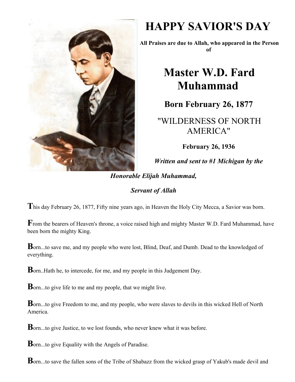

## **HAPPY SAVIOR'S DAY**

**All Praises are due to Allah, who appeared in the Person of**

## **Master W.D. Fard Muhammad**

**Born February 26, 1877**

"WILDERNESS OF NORTH AMERICA"

**February 26, 1936**

*Written and sent to #1 Michigan by the*

*Honorable Elijah Muhammad,*

## *Servant of Allah*

**T**his day February 26, 1877, Fifty nine years ago, in Heaven the Holy City Mecca, a Savior was born.

**F**rom the bearers of Heaven's throne, a voice raised high and mighty Master W.D. Fard Muhammad, have been born the mighty King.

**B**orn...to save me, and my people who were lost, Blind, Deaf, and Dumb. Dead to the knowledged of everything.

**B**orn..Hath he, to intercede, for me, and my people in this Judgement Day.

**B**orn...to give life to me and my people, that we might live.

**B**orn...to give Freedom to me, and my people, who were slaves to devils in this wicked Hell of North America.

**B**orn...to give Justice, to we lost founds, who never knew what it was before.

**B**orn...to give Equality with the Angels of Paradise.

**B**orn...to save the fallen sons of the Tribe of Shabazz from the wicked grasp of Yakub's made devil and